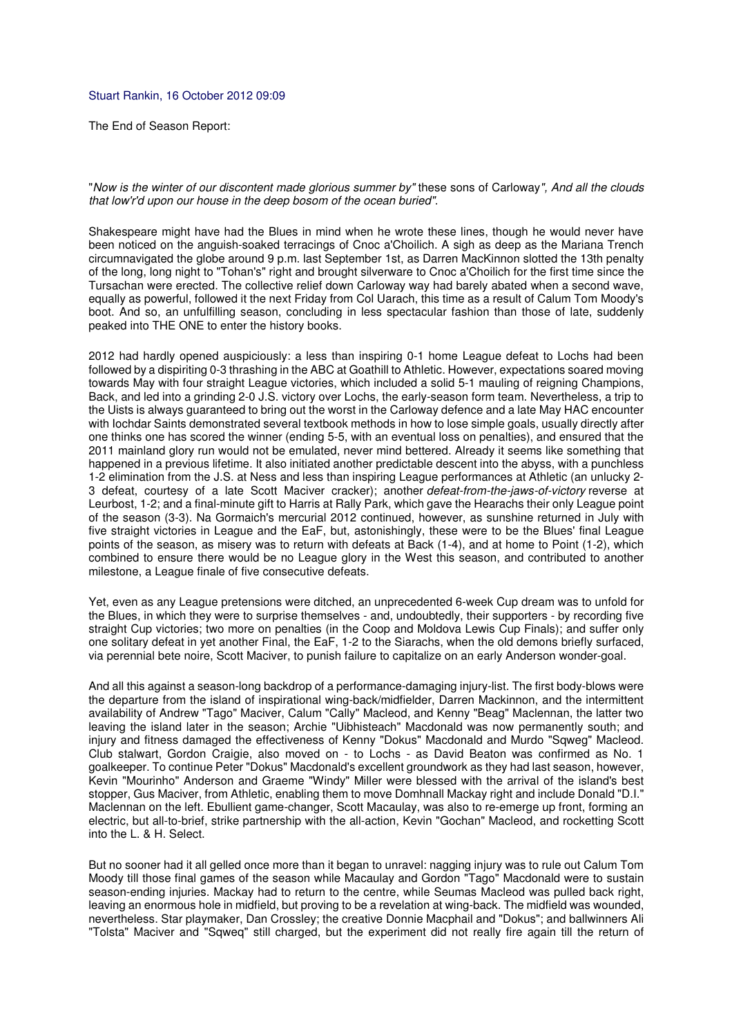## Stuart Rankin, 16 October 2012 09:09

The End of Season Report:

"Now is the winter of our discontent made glorious summer by" these sons of Carloway", And all the clouds that low'r'd upon our house in the deep bosom of the ocean buried".

Shakespeare might have had the Blues in mind when he wrote these lines, though he would never have been noticed on the anguish-soaked terracings of Cnoc a'Choilich. A sigh as deep as the Mariana Trench circumnavigated the globe around 9 p.m. last September 1st, as Darren MacKinnon slotted the 13th penalty of the long, long night to "Tohan's" right and brought silverware to Cnoc a'Choilich for the first time since the Tursachan were erected. The collective relief down Carloway way had barely abated when a second wave, equally as powerful, followed it the next Friday from Col Uarach, this time as a result of Calum Tom Moody's boot. And so, an unfulfilling season, concluding in less spectacular fashion than those of late, suddenly peaked into THE ONE to enter the history books.

2012 had hardly opened auspiciously: a less than inspiring 0-1 home League defeat to Lochs had been followed by a dispiriting 0-3 thrashing in the ABC at Goathill to Athletic. However, expectations soared moving towards May with four straight League victories, which included a solid 5-1 mauling of reigning Champions, Back, and led into a grinding 2-0 J.S. victory over Lochs, the early-season form team. Nevertheless, a trip to the Uists is always guaranteed to bring out the worst in the Carloway defence and a late May HAC encounter with lochdar Saints demonstrated several textbook methods in how to lose simple goals, usually directly after one thinks one has scored the winner (ending 5-5, with an eventual loss on penalties), and ensured that the 2011 mainland glory run would not be emulated, never mind bettered. Already it seems like something that happened in a previous lifetime. It also initiated another predictable descent into the abyss, with a punchless 1-2 elimination from the J.S. at Ness and less than inspiring League performances at Athletic (an unlucky 2- 3 defeat, courtesy of a late Scott Maciver cracker); another defeat-from-the-jaws-of-victory reverse at Leurbost, 1-2; and a final-minute gift to Harris at Rally Park, which gave the Hearachs their only League point of the season (3-3). Na Gormaich's mercurial 2012 continued, however, as sunshine returned in July with five straight victories in League and the EaF, but, astonishingly, these were to be the Blues' final League points of the season, as misery was to return with defeats at Back (1-4), and at home to Point (1-2), which combined to ensure there would be no League glory in the West this season, and contributed to another milestone, a League finale of five consecutive defeats.

Yet, even as any League pretensions were ditched, an unprecedented 6-week Cup dream was to unfold for the Blues, in which they were to surprise themselves - and, undoubtedly, their supporters - by recording five straight Cup victories; two more on penalties (in the Coop and Moldova Lewis Cup Finals); and suffer only one solitary defeat in yet another Final, the EaF, 1-2 to the Siarachs, when the old demons briefly surfaced, via perennial bete noire, Scott Maciver, to punish failure to capitalize on an early Anderson wonder-goal.

And all this against a season-long backdrop of a performance-damaging injury-list. The first body-blows were the departure from the island of inspirational wing-back/midfielder, Darren Mackinnon, and the intermittent availability of Andrew "Tago" Maciver, Calum "Cally" Macleod, and Kenny "Beag" Maclennan, the latter two leaving the island later in the season; Archie "Uibhisteach" Macdonald was now permanently south; and injury and fitness damaged the effectiveness of Kenny "Dokus" Macdonald and Murdo "Sqweg" Macleod. Club stalwart, Gordon Craigie, also moved on - to Lochs - as David Beaton was confirmed as No. 1 goalkeeper. To continue Peter "Dokus" Macdonald's excellent groundwork as they had last season, however. Kevin "Mourinho" Anderson and Graeme "Windy" Miller were blessed with the arrival of the island's best stopper, Gus Maciver, from Athletic, enabling them to move Domhnall Mackay right and include Donald "D.I." Maclennan on the left. Ebullient game-changer, Scott Macaulay, was also to re-emerge up front, forming an electric, but all-to-brief, strike partnership with the all-action, Kevin "Gochan" Macleod, and rocketting Scott into the L. & H. Select.

But no sooner had it all gelled once more than it began to unravel: nagging injury was to rule out Calum Tom Moody till those final games of the season while Macaulay and Gordon "Tago" Macdonald were to sustain season-ending injuries. Mackay had to return to the centre, while Seumas Macleod was pulled back right, leaving an enormous hole in midfield, but proving to be a revelation at wing-back. The midfield was wounded, nevertheless. Star playmaker, Dan Crossley; the creative Donnie Macphail and "Dokus"; and ballwinners Ali "Tolsta" Maciver and "Sqweq" still charged, but the experiment did not really fire again till the return of